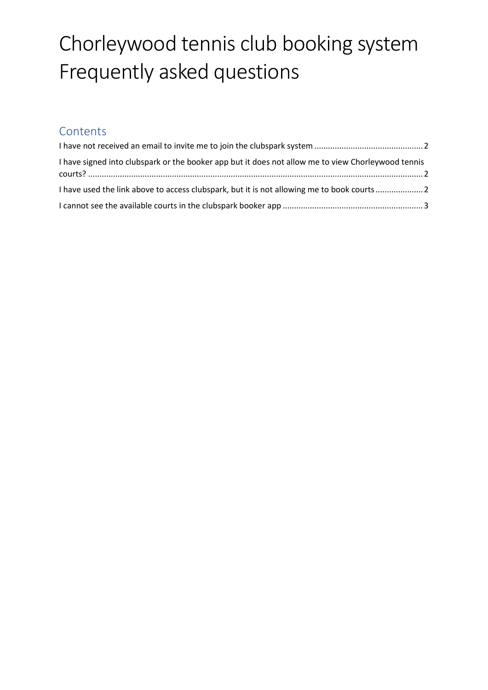# Chorleywood tennis club booking system Frequently asked questions

### **Contents**

| I have signed into clubspark or the booker app but it does not allow me to view Chorleywood tennis |  |
|----------------------------------------------------------------------------------------------------|--|
| I have used the link above to access clubspark, but it is not allowing me to book courts2          |  |
|                                                                                                    |  |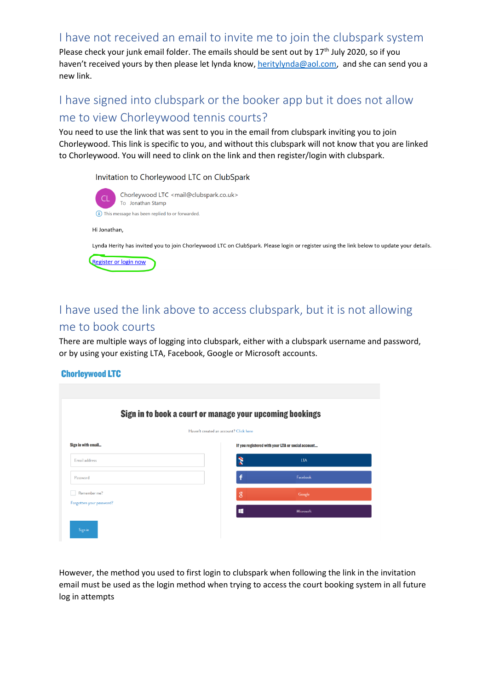#### <span id="page-1-0"></span>I have not received an email to invite me to join the clubspark system

Please check your junk email folder. The emails should be sent out by 17<sup>th</sup> July 2020, so if you haven't received yours by then please let lynda know[, heritylynda@aol.com,](mailto:heritylynda@aol.com) and she can send you a new link.

## <span id="page-1-1"></span>I have signed into clubspark or the booker app but it does not allow me to view Chorleywood tennis courts?

You need to use the link that was sent to you in the email from clubspark inviting you to join Chorleywood. This link is specific to you, and without this clubspark will not know that you are linked to Chorleywood. You will need to clink on the link and then register/login with clubspark.

Invitation to Chorleywood LTC on ClubSpark



# <span id="page-1-2"></span>I have used the link above to access clubspark, but it is not allowing me to book courts

There are multiple ways of logging into clubspark, either with a clubspark username and password, or by using your existing LTA, Facebook, Google or Microsoft accounts.

#### **Chorleywood LTC**

| Sign in to book a court or manage your upcoming bookings<br>Haven't created an account? Click here |  |                |            |  |  |
|----------------------------------------------------------------------------------------------------|--|----------------|------------|--|--|
|                                                                                                    |  |                |            |  |  |
| Email address                                                                                      |  | ż              | <b>LTA</b> |  |  |
| Password                                                                                           |  | f              | Facebook   |  |  |
| Remember me?                                                                                       |  | $\overline{8}$ | Google     |  |  |
| Forgotten your password?                                                                           |  | ÷              | Microsoft  |  |  |

However, the method you used to first login to clubspark when following the link in the invitation email must be used as the login method when trying to access the court booking system in all future log in attempts